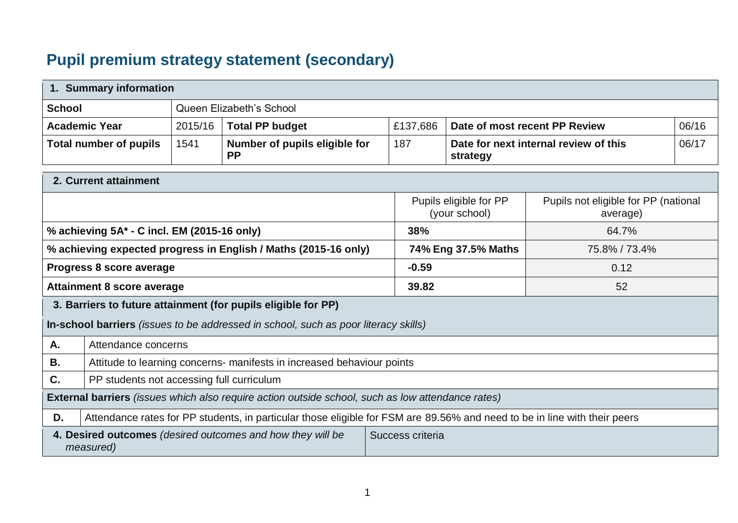## **Pupil premium strategy statement (secondary)**

| 1. Summary information                                          |                                                                                                     |         |                                                                                                                           |                     |                                                   |                               |       |
|-----------------------------------------------------------------|-----------------------------------------------------------------------------------------------------|---------|---------------------------------------------------------------------------------------------------------------------------|---------------------|---------------------------------------------------|-------------------------------|-------|
| <b>School</b>                                                   | Queen Elizabeth's School                                                                            |         |                                                                                                                           |                     |                                                   |                               |       |
|                                                                 | <b>Academic Year</b>                                                                                | 2015/16 | <b>Total PP budget</b>                                                                                                    | £137,686            |                                                   | Date of most recent PP Review | 06/16 |
|                                                                 | <b>Total number of pupils</b>                                                                       | 1541    | Number of pupils eligible for<br><b>PP</b>                                                                                | 187                 | Date for next internal review of this<br>strategy |                               | 06/17 |
|                                                                 | 2. Current attainment                                                                               |         |                                                                                                                           |                     |                                                   |                               |       |
|                                                                 | Pupils eligible for PP<br>Pupils not eligible for PP (national<br>(your school)<br>average)         |         |                                                                                                                           |                     |                                                   |                               |       |
| % achieving 5A* - C incl. EM (2015-16 only)                     |                                                                                                     |         | 38%                                                                                                                       |                     | 64.7%                                             |                               |       |
| % achieving expected progress in English / Maths (2015-16 only) |                                                                                                     |         |                                                                                                                           | 74% Eng 37.5% Maths | 75.8% / 73.4%                                     |                               |       |
| Progress 8 score average                                        |                                                                                                     |         | $-0.59$                                                                                                                   |                     | 0.12                                              |                               |       |
| <b>Attainment 8 score average</b>                               |                                                                                                     |         | 39.82                                                                                                                     |                     | 52                                                |                               |       |
|                                                                 |                                                                                                     |         | 3. Barriers to future attainment (for pupils eligible for PP)                                                             |                     |                                                   |                               |       |
|                                                                 |                                                                                                     |         | In-school barriers (issues to be addressed in school, such as poor literacy skills)                                       |                     |                                                   |                               |       |
| Α.                                                              | Attendance concerns                                                                                 |         |                                                                                                                           |                     |                                                   |                               |       |
| В.                                                              |                                                                                                     |         | Attitude to learning concerns- manifests in increased behaviour points                                                    |                     |                                                   |                               |       |
| C.                                                              | PP students not accessing full curriculum                                                           |         |                                                                                                                           |                     |                                                   |                               |       |
|                                                                 |                                                                                                     |         | <b>External barriers</b> (issues which also require action outside school, such as low attendance rates)                  |                     |                                                   |                               |       |
| D.                                                              |                                                                                                     |         | Attendance rates for PP students, in particular those eligible for FSM are 89.56% and need to be in line with their peers |                     |                                                   |                               |       |
|                                                                 | Success criteria<br>4. Desired outcomes (desired outcomes and how they will be<br><i>measured</i> ) |         |                                                                                                                           |                     |                                                   |                               |       |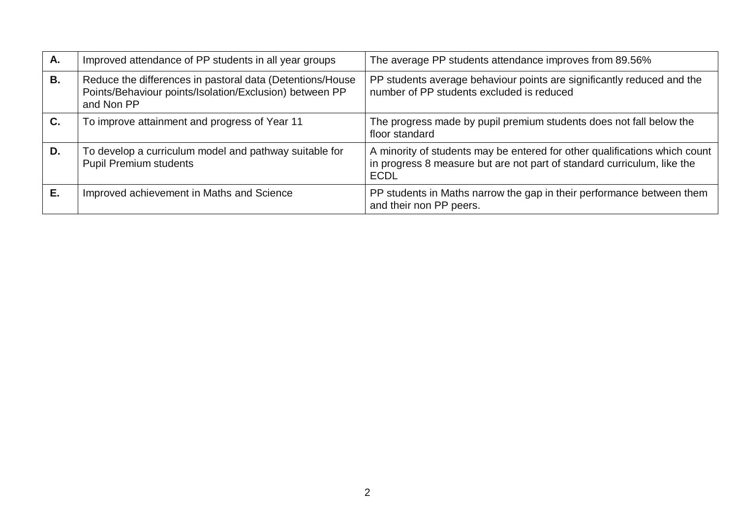| Α. | Improved attendance of PP students in all year groups                                                                              | The average PP students attendance improves from 89.56%                                                                                                              |
|----|------------------------------------------------------------------------------------------------------------------------------------|----------------------------------------------------------------------------------------------------------------------------------------------------------------------|
| В. | Reduce the differences in pastoral data (Detentions/House<br>Points/Behaviour points/Isolation/Exclusion) between PP<br>and Non PP | PP students average behaviour points are significantly reduced and the<br>number of PP students excluded is reduced                                                  |
| C. | To improve attainment and progress of Year 11                                                                                      | The progress made by pupil premium students does not fall below the<br>floor standard                                                                                |
| D. | To develop a curriculum model and pathway suitable for<br><b>Pupil Premium students</b>                                            | A minority of students may be entered for other qualifications which count<br>in progress 8 measure but are not part of standard curriculum, like the<br><b>ECDL</b> |
| Е. | Improved achievement in Maths and Science                                                                                          | PP students in Maths narrow the gap in their performance between them<br>and their non PP peers.                                                                     |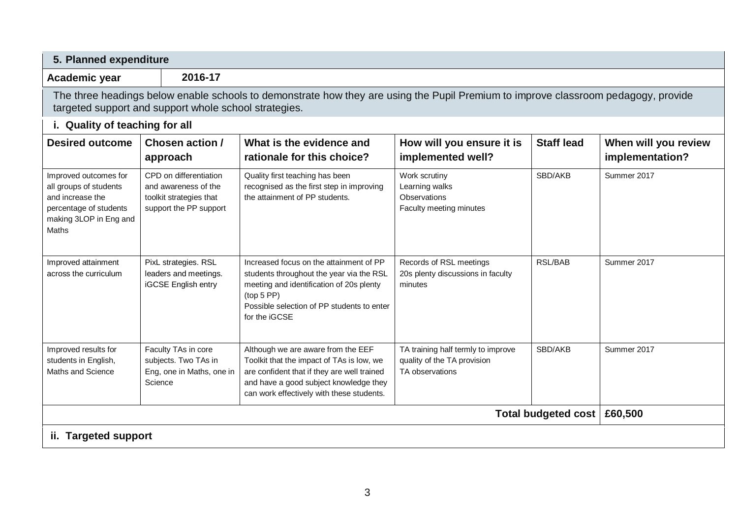| Academic year                                                                                                                    | 2016-17                                                                                             |                                                                                                                                                                                                                       |                                                                                      |                     |                                         |
|----------------------------------------------------------------------------------------------------------------------------------|-----------------------------------------------------------------------------------------------------|-----------------------------------------------------------------------------------------------------------------------------------------------------------------------------------------------------------------------|--------------------------------------------------------------------------------------|---------------------|-----------------------------------------|
|                                                                                                                                  | targeted support and support whole school strategies.                                               | The three headings below enable schools to demonstrate how they are using the Pupil Premium to improve classroom pedagogy, provide                                                                                    |                                                                                      |                     |                                         |
| i. Quality of teaching for all                                                                                                   |                                                                                                     |                                                                                                                                                                                                                       |                                                                                      |                     |                                         |
| <b>Desired outcome</b>                                                                                                           | Chosen action /<br>approach                                                                         | What is the evidence and<br>rationale for this choice?                                                                                                                                                                | How will you ensure it is<br>implemented well?                                       | <b>Staff lead</b>   | When will you review<br>implementation? |
| Improved outcomes for<br>all groups of students<br>and increase the<br>percentage of students<br>making 3LOP in Eng and<br>Maths | CPD on differentiation<br>and awareness of the<br>toolkit strategies that<br>support the PP support | Quality first teaching has been<br>recognised as the first step in improving<br>the attainment of PP students.                                                                                                        | Work scrutiny<br>Learning walks<br>Observations<br>Faculty meeting minutes           | SBD/AKB             | Summer 2017                             |
| Improved attainment<br>across the curriculum                                                                                     | PixL strategies. RSL<br>leaders and meetings.<br>iGCSE English entry                                | Increased focus on the attainment of PP<br>students throughout the year via the RSL<br>meeting and identification of 20s plenty<br>(top 5 PP)<br>Possible selection of PP students to enter<br>for the iGCSE          | Records of RSL meetings<br>20s plenty discussions in faculty<br>minutes              | <b>RSL/BAB</b>      | Summer 2017                             |
| Improved results for<br>students in English,<br>Maths and Science                                                                | Faculty TAs in core<br>subjects. Two TAs in<br>Eng, one in Maths, one in<br>Science                 | Although we are aware from the EEF<br>Toolkit that the impact of TAs is low, we<br>are confident that if they are well trained<br>and have a good subject knowledge they<br>can work effectively with these students. | TA training half termly to improve<br>quality of the TA provision<br>TA observations | SBD/AKB             | Summer 2017                             |
|                                                                                                                                  |                                                                                                     |                                                                                                                                                                                                                       |                                                                                      | Total budgeted cost | £60,500                                 |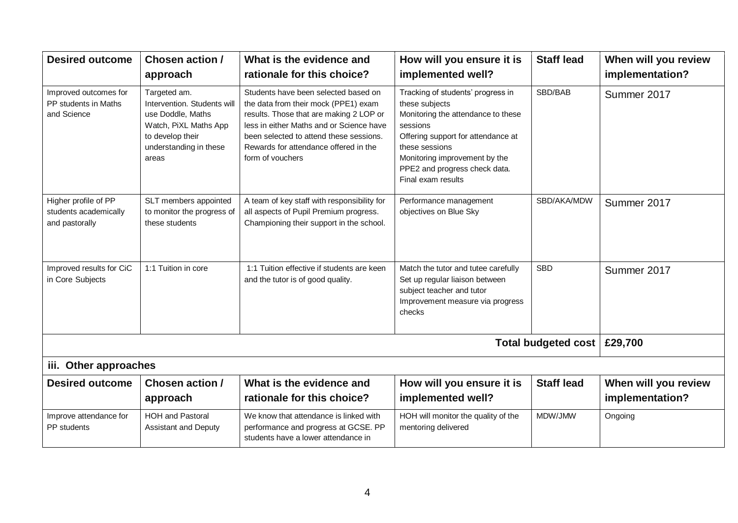| <b>Desired outcome</b>                                          | <b>Chosen action /</b><br>approach                                                                                                               | What is the evidence and<br>rationale for this choice?                                                                                                                                                                                                                      | How will you ensure it is<br>implemented well?                                                                                                                                                                                                        | <b>Staff lead</b>   | When will you review<br>implementation? |
|-----------------------------------------------------------------|--------------------------------------------------------------------------------------------------------------------------------------------------|-----------------------------------------------------------------------------------------------------------------------------------------------------------------------------------------------------------------------------------------------------------------------------|-------------------------------------------------------------------------------------------------------------------------------------------------------------------------------------------------------------------------------------------------------|---------------------|-----------------------------------------|
| Improved outcomes for<br>PP students in Maths<br>and Science    | Targeted am.<br>Intervention. Students will<br>use Doddle, Maths<br>Watch, PiXL Maths App<br>to develop their<br>understanding in these<br>areas | Students have been selected based on<br>the data from their mock (PPE1) exam<br>results. Those that are making 2 LOP or<br>less in either Maths and or Science have<br>been selected to attend these sessions.<br>Rewards for attendance offered in the<br>form of vouchers | Tracking of students' progress in<br>these subjects<br>Monitoring the attendance to these<br>sessions<br>Offering support for attendance at<br>these sessions<br>Monitoring improvement by the<br>PPE2 and progress check data.<br>Final exam results | SBD/BAB             | Summer 2017                             |
| Higher profile of PP<br>students academically<br>and pastorally | SLT members appointed<br>to monitor the progress of<br>these students                                                                            | A team of key staff with responsibility for<br>all aspects of Pupil Premium progress.<br>Championing their support in the school.                                                                                                                                           | Performance management<br>objectives on Blue Sky                                                                                                                                                                                                      | SBD/AKA/MDW         | Summer 2017                             |
| Improved results for CiC<br>in Core Subjects                    | 1:1 Tuition in core                                                                                                                              | 1:1 Tuition effective if students are keen<br>and the tutor is of good quality.                                                                                                                                                                                             | Match the tutor and tutee carefully<br>Set up regular liaison between<br>subject teacher and tutor<br>Improvement measure via progress<br>checks                                                                                                      | <b>SBD</b>          | Summer 2017                             |
|                                                                 |                                                                                                                                                  |                                                                                                                                                                                                                                                                             |                                                                                                                                                                                                                                                       | Total budgeted cost | £29,700                                 |
| iii. Other approaches                                           |                                                                                                                                                  |                                                                                                                                                                                                                                                                             |                                                                                                                                                                                                                                                       |                     |                                         |
| <b>Desired outcome</b>                                          | Chosen action /<br>approach                                                                                                                      | What is the evidence and<br>rationale for this choice?                                                                                                                                                                                                                      | How will you ensure it is<br>implemented well?                                                                                                                                                                                                        | <b>Staff lead</b>   | When will you review<br>implementation? |
| Improve attendance for<br>PP students                           | <b>HOH and Pastoral</b><br>Assistant and Deputy                                                                                                  | We know that attendance is linked with<br>performance and progress at GCSE. PP<br>students have a lower attendance in                                                                                                                                                       | HOH will monitor the quality of the<br>mentoring delivered                                                                                                                                                                                            | MDW/JMW             | Ongoing                                 |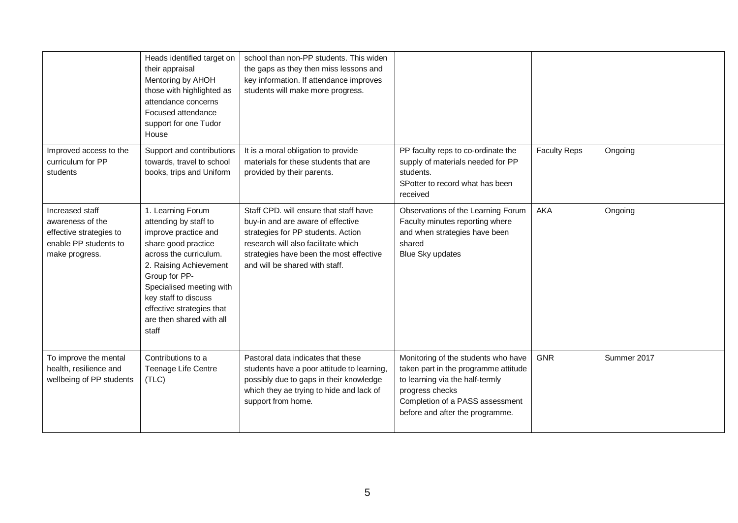|                                                                                                           | Heads identified target on<br>their appraisal<br>Mentoring by AHOH<br>those with highlighted as<br>attendance concerns<br>Focused attendance<br>support for one Tudor<br>House                                                                                                       | school than non-PP students. This widen<br>the gaps as they then miss lessons and<br>key information. If attendance improves<br>students will make more progress.                                                                     |                                                                                                                                                                                                         |                     |             |
|-----------------------------------------------------------------------------------------------------------|--------------------------------------------------------------------------------------------------------------------------------------------------------------------------------------------------------------------------------------------------------------------------------------|---------------------------------------------------------------------------------------------------------------------------------------------------------------------------------------------------------------------------------------|---------------------------------------------------------------------------------------------------------------------------------------------------------------------------------------------------------|---------------------|-------------|
| Improved access to the<br>curriculum for PP<br>students                                                   | Support and contributions<br>towards, travel to school<br>books, trips and Uniform                                                                                                                                                                                                   | It is a moral obligation to provide<br>materials for these students that are<br>provided by their parents.                                                                                                                            | PP faculty reps to co-ordinate the<br>supply of materials needed for PP<br>students.<br>SPotter to record what has been<br>received                                                                     | <b>Faculty Reps</b> | Ongoing     |
| Increased staff<br>awareness of the<br>effective strategies to<br>enable PP students to<br>make progress. | 1. Learning Forum<br>attending by staff to<br>improve practice and<br>share good practice<br>across the curriculum.<br>2. Raising Achievement<br>Group for PP-<br>Specialised meeting with<br>key staff to discuss<br>effective strategies that<br>are then shared with all<br>staff | Staff CPD, will ensure that staff have<br>buy-in and are aware of effective<br>strategies for PP students. Action<br>research will also facilitate which<br>strategies have been the most effective<br>and will be shared with staff. | Observations of the Learning Forum<br>Faculty minutes reporting where<br>and when strategies have been<br>shared<br>Blue Sky updates                                                                    | AKA                 | Ongoing     |
| To improve the mental<br>health, resilience and<br>wellbeing of PP students                               | Contributions to a<br>Teenage Life Centre<br>(TLC)                                                                                                                                                                                                                                   | Pastoral data indicates that these<br>students have a poor attitude to learning<br>possibly due to gaps in their knowledge<br>which they ae trying to hide and lack of<br>support from home.                                          | Monitoring of the students who have<br>taken part in the programme attitude<br>to learning via the half-termly<br>progress checks<br>Completion of a PASS assessment<br>before and after the programme. | <b>GNR</b>          | Summer 2017 |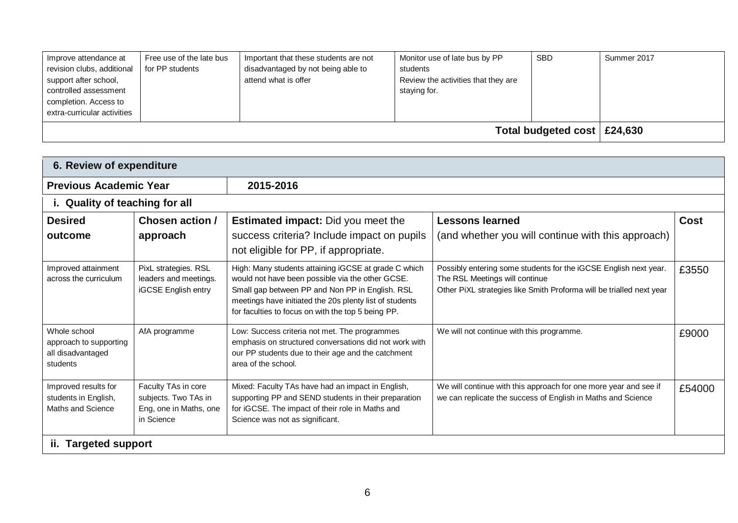| Improve attendance at<br>revision clubs, additional<br>support after school,<br>controlled assessment<br>completion. Access to<br>extra-curricular activities | Free use of the late bus<br>for PP students | Important that these students are not<br>disadvantaged by not being able to<br>attend what is offer | Monitor use of late bus by PP<br>students<br>Review the activities that they are<br>staying for. | <b>SBD</b> | Summer 2017 |  |
|---------------------------------------------------------------------------------------------------------------------------------------------------------------|---------------------------------------------|-----------------------------------------------------------------------------------------------------|--------------------------------------------------------------------------------------------------|------------|-------------|--|
|                                                                                                                                                               | Total budgeted cost   £24,630               |                                                                                                     |                                                                                                  |            |             |  |

| 6. Review of expenditure                                                |                                                                                     |                                                                                                                                                                                                                                                                              |                                                                                                                                                                            |             |  |  |  |
|-------------------------------------------------------------------------|-------------------------------------------------------------------------------------|------------------------------------------------------------------------------------------------------------------------------------------------------------------------------------------------------------------------------------------------------------------------------|----------------------------------------------------------------------------------------------------------------------------------------------------------------------------|-------------|--|--|--|
| <b>Previous Academic Year</b>                                           |                                                                                     | 2015-2016                                                                                                                                                                                                                                                                    |                                                                                                                                                                            |             |  |  |  |
| i. Quality of teaching for all                                          |                                                                                     |                                                                                                                                                                                                                                                                              |                                                                                                                                                                            |             |  |  |  |
| <b>Desired</b>                                                          | Chosen action /                                                                     | <b>Estimated impact:</b> Did you meet the                                                                                                                                                                                                                                    | <b>Lessons learned</b>                                                                                                                                                     | <b>Cost</b> |  |  |  |
| outcome                                                                 | approach                                                                            | success criteria? Include impact on pupils<br>not eligible for PP, if appropriate.                                                                                                                                                                                           | (and whether you will continue with this approach)                                                                                                                         |             |  |  |  |
| Improved attainment<br>across the curriculum                            | PixL strategies. RSL<br>leaders and meetings.<br>iGCSE English entry                | High: Many students attaining iGCSE at grade C which<br>would not have been possible via the other GCSE.<br>Small gap between PP and Non PP in English. RSL<br>meetings have initiated the 20s plenty list of students<br>for faculties to focus on with the top 5 being PP. | Possibly entering some students for the iGCSE English next year.<br>The RSL Meetings will continue<br>Other PiXL strategies like Smith Proforma will be trialled next year | £3550       |  |  |  |
| Whole school<br>approach to supporting<br>all disadvantaged<br>students | AfA programme                                                                       | Low: Success criteria not met. The programmes<br>emphasis on structured conversations did not work with<br>our PP students due to their age and the catchment<br>area of the school.                                                                                         | We will not continue with this programme.                                                                                                                                  | £9000       |  |  |  |
| Improved results for<br>students in English,<br>Maths and Science       | Faculty TAs in core<br>subjects. Two TAs in<br>Eng, one in Maths, one<br>in Science | Mixed: Faculty TAs have had an impact in English,<br>supporting PP and SEND students in their preparation<br>for iGCSE. The impact of their role in Maths and<br>Science was not as significant.                                                                             | We will continue with this approach for one more year and see if<br>we can replicate the success of English in Maths and Science                                           | £54000      |  |  |  |
| ii. Targeted support                                                    |                                                                                     |                                                                                                                                                                                                                                                                              |                                                                                                                                                                            |             |  |  |  |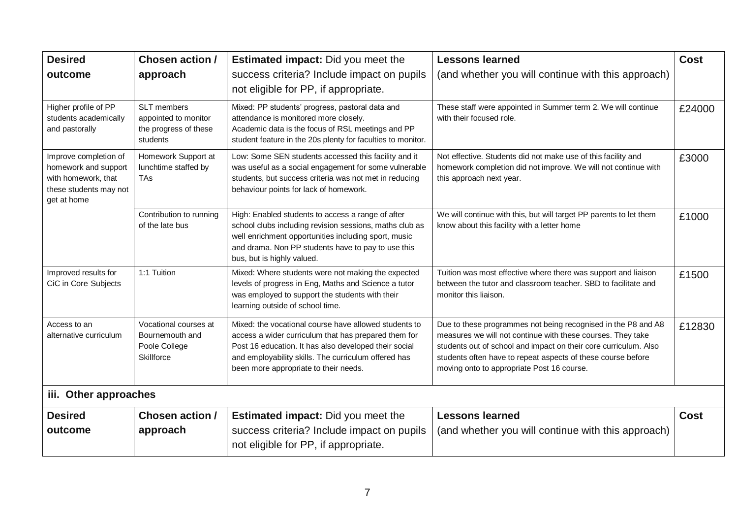| <b>Desired</b>                                                                                                | Chosen action /                                                          | <b>Estimated impact:</b> Did you meet the                                                                                                                                                                                                                               | <b>Lessons learned</b>                                                                                                                                                                                                                                                                                         | <b>Cost</b> |
|---------------------------------------------------------------------------------------------------------------|--------------------------------------------------------------------------|-------------------------------------------------------------------------------------------------------------------------------------------------------------------------------------------------------------------------------------------------------------------------|----------------------------------------------------------------------------------------------------------------------------------------------------------------------------------------------------------------------------------------------------------------------------------------------------------------|-------------|
| outcome                                                                                                       | approach                                                                 | success criteria? Include impact on pupils<br>not eligible for PP, if appropriate.                                                                                                                                                                                      | (and whether you will continue with this approach)                                                                                                                                                                                                                                                             |             |
| Higher profile of PP<br>students academically<br>and pastorally                                               | SLT members<br>appointed to monitor<br>the progress of these<br>students | Mixed: PP students' progress, pastoral data and<br>attendance is monitored more closely.<br>Academic data is the focus of RSL meetings and PP<br>student feature in the 20s plenty for faculties to monitor.                                                            | These staff were appointed in Summer term 2. We will continue<br>with their focused role.                                                                                                                                                                                                                      | £24000      |
| Improve completion of<br>homework and support<br>with homework, that<br>these students may not<br>get at home | Homework Support at<br>lunchtime staffed by<br><b>TA<sub>s</sub></b>     | Low: Some SEN students accessed this facility and it<br>was useful as a social engagement for some vulnerable<br>students, but success criteria was not met in reducing<br>behaviour points for lack of homework.                                                       | Not effective. Students did not make use of this facility and<br>homework completion did not improve. We will not continue with<br>this approach next year.                                                                                                                                                    | £3000       |
|                                                                                                               | Contribution to running<br>of the late bus                               | High: Enabled students to access a range of after<br>school clubs including revision sessions, maths club as<br>well enrichment opportunities including sport, music<br>and drama. Non PP students have to pay to use this<br>bus, but is highly valued.                | We will continue with this, but will target PP parents to let them<br>know about this facility with a letter home                                                                                                                                                                                              | £1000       |
| Improved results for<br>CiC in Core Subjects                                                                  | 1:1 Tuition                                                              | Mixed: Where students were not making the expected<br>levels of progress in Eng, Maths and Science a tutor<br>was employed to support the students with their<br>learning outside of school time.                                                                       | Tuition was most effective where there was support and liaison<br>between the tutor and classroom teacher. SBD to facilitate and<br>monitor this liaison.                                                                                                                                                      | £1500       |
| Access to an<br>alternative curriculum                                                                        | Vocational courses at<br>Bournemouth and<br>Poole College<br>Skillforce  | Mixed: the vocational course have allowed students to<br>access a wider curriculum that has prepared them for<br>Post 16 education. It has also developed their social<br>and employability skills. The curriculum offered has<br>been more appropriate to their needs. | Due to these programmes not being recognised in the P8 and A8<br>measures we will not continue with these courses. They take<br>students out of school and impact on their core curriculum. Also<br>students often have to repeat aspects of these course before<br>moving onto to appropriate Post 16 course. | £12830      |
| iii. Other approaches                                                                                         |                                                                          |                                                                                                                                                                                                                                                                         |                                                                                                                                                                                                                                                                                                                |             |
| <b>Desired</b>                                                                                                | Chosen action /                                                          | <b>Estimated impact:</b> Did you meet the                                                                                                                                                                                                                               | <b>Lessons learned</b>                                                                                                                                                                                                                                                                                         | <b>Cost</b> |
| outcome                                                                                                       | approach                                                                 | success criteria? Include impact on pupils<br>not eligible for PP, if appropriate.                                                                                                                                                                                      | (and whether you will continue with this approach)                                                                                                                                                                                                                                                             |             |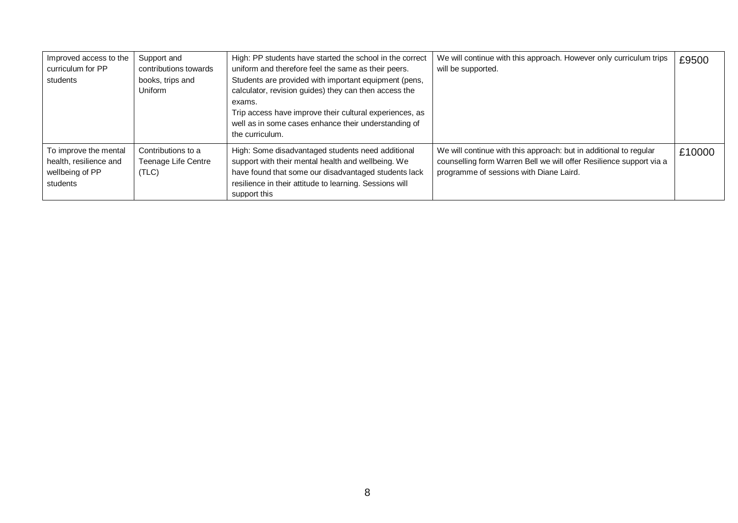| Improved access to the<br>curriculum for PP<br>students                        | Support and<br>contributions towards<br>books, trips and<br>Uniform | High: PP students have started the school in the correct<br>uniform and therefore feel the same as their peers.<br>Students are provided with important equipment (pens,<br>calculator, revision guides) they can then access the<br>exams.<br>Trip access have improve their cultural experiences, as<br>well as in some cases enhance their understanding of<br>the curriculum. | We will continue with this approach. However only curriculum trips<br>will be supported.                                                                                            | £9500  |
|--------------------------------------------------------------------------------|---------------------------------------------------------------------|-----------------------------------------------------------------------------------------------------------------------------------------------------------------------------------------------------------------------------------------------------------------------------------------------------------------------------------------------------------------------------------|-------------------------------------------------------------------------------------------------------------------------------------------------------------------------------------|--------|
| To improve the mental<br>health, resilience and<br>wellbeing of PP<br>students | Contributions to a<br>Teenage Life Centre<br>(TLC)                  | High: Some disadvantaged students need additional<br>support with their mental health and wellbeing. We<br>have found that some our disadvantaged students lack<br>resilience in their attitude to learning. Sessions will<br>support this                                                                                                                                        | We will continue with this approach: but in additional to regular<br>counselling form Warren Bell we will offer Resilience support via a<br>programme of sessions with Diane Laird. | £10000 |